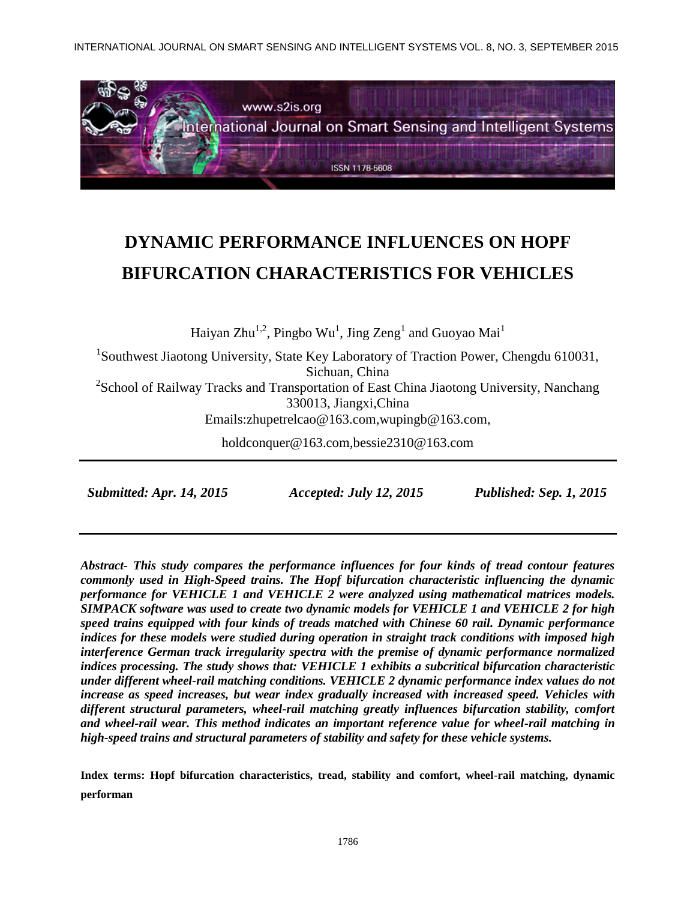INTERNATIONAL JOURNAL ON SMART SENSING AND INTELLIGENT SYSTEMS VOL. 8, NO. 3, SEPTEMBER 2015



# **DYNAMIC PERFORMANCE INFLUENCES ON HOPF BIFURCATION CHARACTERISTICS FOR VEHICLES**

Haiyan Zhu $^{1,2}$ , Pingbo Wu $^1$ , Jing Zeng $^1$  and Guoyao Mai $^1$ 

<sup>1</sup>Southwest Jiaotong University, State Key Laboratory of Traction Power, Chengdu 610031, Sichuan, China <sup>2</sup>School of Railway Tracks and Transportation of East China Jiaotong University, Nanchang 330013, Jiangxi,China Emails:zhupetrelcao@163.com,wupingb@163.com,

holdconquer@163.com,bessie2310@163.com

 *Submitted: Apr. 14, 2015 Accepted: July 12, 2015 Published: Sep. 1, 2015*

*Abstract- This study compares the performance influences for four kinds of tread contour features commonly used in High-Speed trains. The Hopf bifurcation characteristic influencing the dynamic performance for VEHICLE 1 and VEHICLE 2 were analyzed using mathematical matrices models. SIMPACK software was used to create two dynamic models for VEHICLE 1 and VEHICLE 2 for high speed trains equipped with four kinds of treads matched with Chinese 60 rail. Dynamic performance indices for these models were studied during operation in straight track conditions with imposed high interference German track irregularity spectra with the premise of dynamic performance normalized indices processing. The study shows that: VEHICLE 1 exhibits a subcritical bifurcation characteristic under different wheel-rail matching conditions. VEHICLE 2 dynamic performance index values do not increase as speed increases, but wear index gradually increased with increased speed. Vehicles with different structural parameters, wheel-rail matching greatly influences bifurcation stability, comfort and wheel-rail wear. This method indicates an important reference value for wheel-rail matching in high-speed trains and structural parameters of stability and safety for these vehicle systems.*

**Index terms: Hopf bifurcation characteristics, tread, stability and comfort, wheel-rail matching, dynamic performan**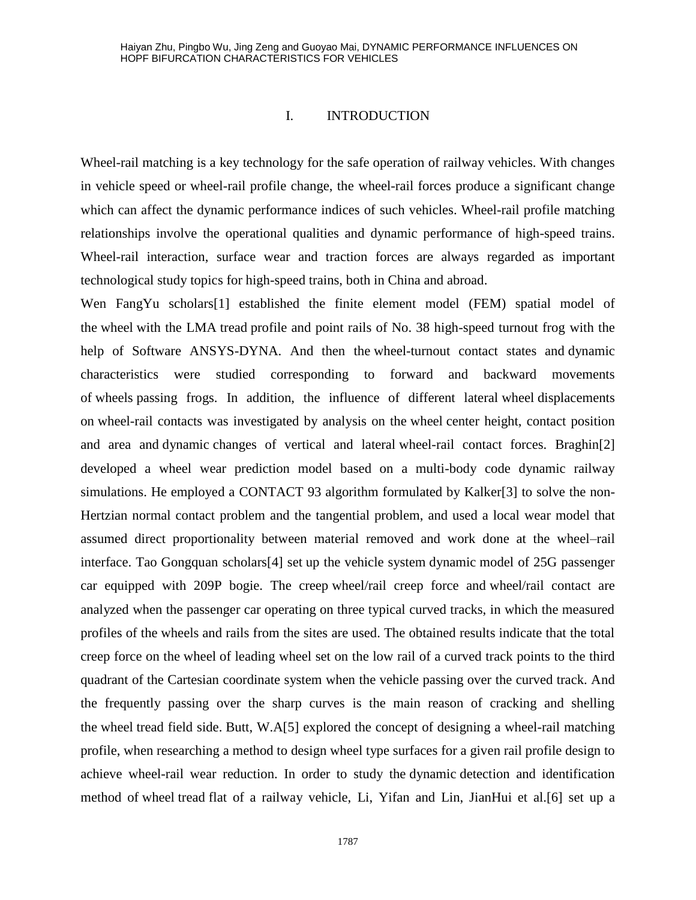### I. INTRODUCTION

Wheel-rail matching is a key technology for the safe operation of railway vehicles. With changes in vehicle speed or wheel-rail profile change, the wheel-rail forces produce a significant change which can affect the dynamic performance indices of such vehicles. Wheel-rail profile matching relationships involve the operational qualities and dynamic performance of high-speed trains. Wheel-rail interaction, surface wear and traction forces are always regarded as important technological study topics for high-speed trains, both in China and abroad.

Wen [FangYu](http://www.engineeringvillage.com/search/submit.url?CID=quickSearchCitationFormat&searchtype=Quick&searchWord1=%7bWen%2C+Fang-Yu%7d§ion1=AU&database=1&yearselect=yearrange&sort=yr) scholars[1] established the finite element model (FEM) spatial model of the wheel with the LMA tread profile and point rails of No. 38 high-speed turnout frog with the help of Software ANSYS-DYNA. And then the wheel-turnout contact states and dynamic characteristics were studied corresponding to forward and backward movements of wheels passing frogs. In addition, the influence of different lateral wheel displacements on wheel-rail contacts was investigated by analysis on the wheel center height, contact position and area and dynamic changes of vertical and lateral wheel-rail contact forces. Braghin[2] developed a wheel wear prediction model based on a multi-body code dynamic railway simulations. He employed a CONTACT 93 algorithm formulated by Kalker[3] to solve the non-Hertzian normal contact problem and the tangential problem, and used a local wear model that assumed direct proportionality between material removed and work done at the wheel–rail interface. Tao [Gongquan](http://www.engineeringvillage.com/search/submit.url?CID=quickSearchCitationFormat&searchtype=Quick&searchWord1=%7bTao%2C+Gongquan%7d§ion1=AU&database=1&yearselect=yearrange&sort=yr) scholars[4] set up the vehicle system dynamic model of 25G passenger car equipped with 209P bogie. The creep wheel/rail creep force and wheel/rail contact are analyzed when the passenger car operating on three typical curved tracks, in which the measured profiles of the wheels and rails from the sites are used. The obtained results indicate that the total creep force on the wheel of leading wheel set on the low rail of a curved track points to the third quadrant of the Cartesian coordinate system when the vehicle passing over the curved track. And the frequently passing over the sharp curves is the main reason of cracking and shelling the wheel tread field side. Butt, W.A[5] explored the concept of designing a wheel-rail matching profile, when researching a method to design wheel type surfaces for a given rail profile design to achieve wheel-rail wear reduction. In order to study the dynamic detection and identification method of wheel tread flat of a railway vehicle, [Li, Yifan](http://www.engineeringvillage.com/search/submit.url?CID=quickSearchCitationFormat&searchtype=Quick&searchWord1=%7bLi%2C+Yi-Fan%7d§ion1=AU&database=1&yearselect=yearrange&sort=yr) and [Lin, JianHui](http://www.engineeringvillage.com/search/submit.url?CID=quickSearchCitationFormat&searchtype=Quick&searchWord1=%7bLin%2C+Jian-Hui%7d§ion1=AU&database=1&yearselect=yearrange&sort=yr) et al.[6] set up a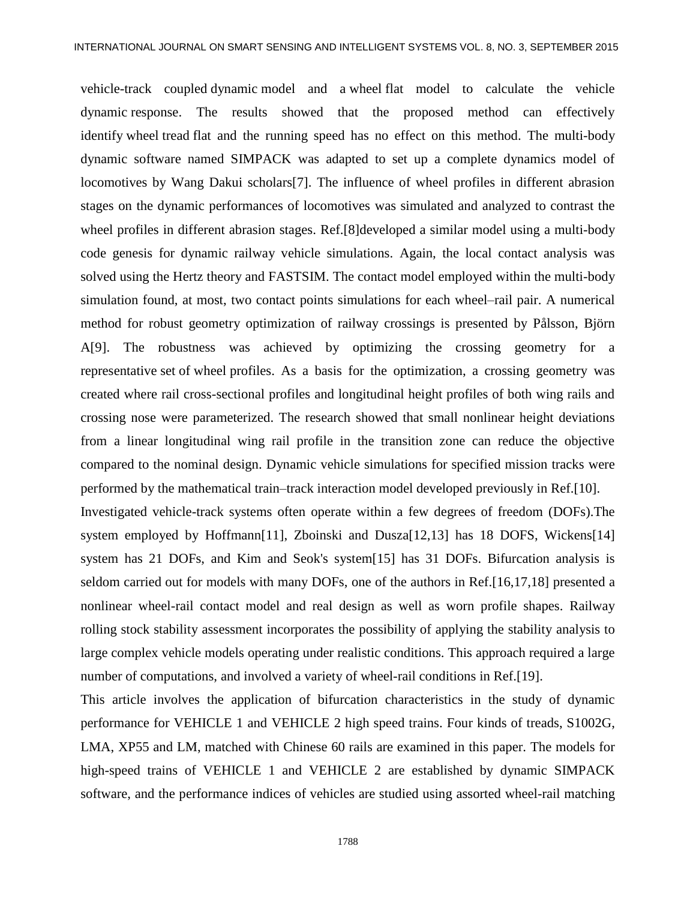vehicle-track coupled dynamic model and a wheel flat model to calculate the vehicle dynamic response. The results showed that the proposed method can effectively identify wheel tread flat and the running speed has no effect on this method. The multi-body dynamic software named SIMPACK was adapted to set up a complete dynamics model of locomotives by [Wang](http://www.engineeringvillage.com/search/submit.url?CID=quickSearchCitationFormat&searchtype=Quick&searchWord1=%7bWang%2C+Da+Kui%7d§ion1=AU&database=1&yearselect=yearrange&sort=yr) Dakui scholars[7]. The influence of wheel profiles in different abrasion stages on the dynamic performances of locomotives was simulated and analyzed to contrast the wheel profiles in different abrasion stages. Ref.[8]developed a similar model using a multi-body code genesis for dynamic railway vehicle simulations. Again, the local contact analysis was solved using the Hertz theory and FASTSIM. The contact model employed within the multi-body simulation found, at most, two contact points simulations for each wheel–rail pair. A numerical method for robust geometry optimization of railway crossings is presented by Pålsson, Björn A[9]. The robustness was achieved by optimizing the crossing geometry for a representative set of wheel profiles. As a basis for the optimization, a crossing geometry was created where rail cross-sectional profiles and longitudinal height profiles of both wing rails and crossing nose were parameterized. The research showed that small nonlinear height deviations from a linear longitudinal wing rail profile in the transition zone can reduce the objective compared to the nominal design. Dynamic vehicle simulations for specified mission tracks were performed by the mathematical train–track interaction model developed previously in Ref.[10].

Investigated vehicle-track systems often operate within a few degrees of freedom (DOFs).The system employed by Hoffmann[11], Zboinski and Dusza[12,13] has 18 DOFS, Wickens[14] system has 21 DOFs, and Kim and Seok's system[15] has 31 DOFs. Bifurcation analysis is seldom carried out for models with many DOFs, one of the authors in Ref.[16,17,18] presented a nonlinear wheel-rail contact model and real design as well as worn profile shapes. Railway rolling stock stability assessment incorporates the possibility of applying the stability analysis to large complex vehicle models operating under realistic conditions. This approach required a large number of computations, and involved a variety of wheel-rail conditions in Ref.[19].

This article involves the application of bifurcation characteristics in the study of dynamic performance for VEHICLE 1 and VEHICLE 2 high speed trains. Four kinds of treads, S1002G, LMA, XP55 and LM, matched with Chinese 60 rails are examined in this paper. The models for high-speed trains of VEHICLE 1 and VEHICLE 2 are established by dynamic SIMPACK software, and the performance indices of vehicles are studied using assorted wheel-rail matching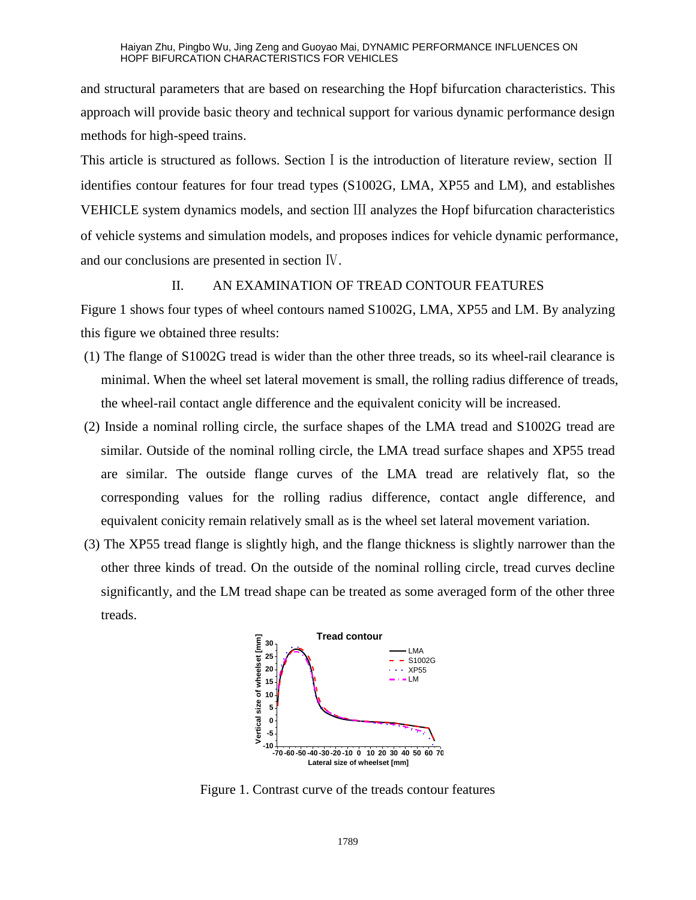and structural parameters that are based on researching the Hopf bifurcation characteristics. This approach will provide basic theory and technical support for various dynamic performance design methods for high-speed trains.

This article is structured as follows. Section I is the introduction of literature review, section II identifies contour features for four tread types (S1002G, LMA, XP55 and LM), and establishes VEHICLE system dynamics models, and section Ⅲ analyzes the Hopf bifurcation characteristics of vehicle systems and simulation models, and proposes indices for vehicle dynamic performance, and our conclusions are presented in section Ⅳ.

### II. AN EXAMINATION OF TREAD CONTOUR FEATURES

Figure 1 shows four types of wheel contours named S1002G, LMA, XP55 and LM. By analyzing this figure we obtained three results:

- (1) The flange of S1002G tread is wider than the other three treads, so its wheel-rail clearance is minimal. When the wheel set lateral movement is small, the rolling radius difference of treads, the wheel-rail contact angle difference and the equivalent conicity will be increased.
- (2) Inside a nominal rolling circle, the surface shapes of the LMA tread and S1002G tread are similar. Outside of the nominal rolling circle, the LMA tread surface shapes and XP55 tread are similar. The outside flange curves of the LMA tread are relatively flat, so the corresponding values for the rolling radius difference, contact angle difference, and equivalent conicity remain relatively small as is the wheel set lateral movement variation.
- (3) The XP55 tread flange is slightly high, and the flange thickness is slightly narrower than the other three kinds of tread. On the outside of the nominal rolling circle, tread curves decline significantly, and the LM tread shape can be treated as some averaged form of the other three treads.



Figure 1. Contrast curve of the treads contour features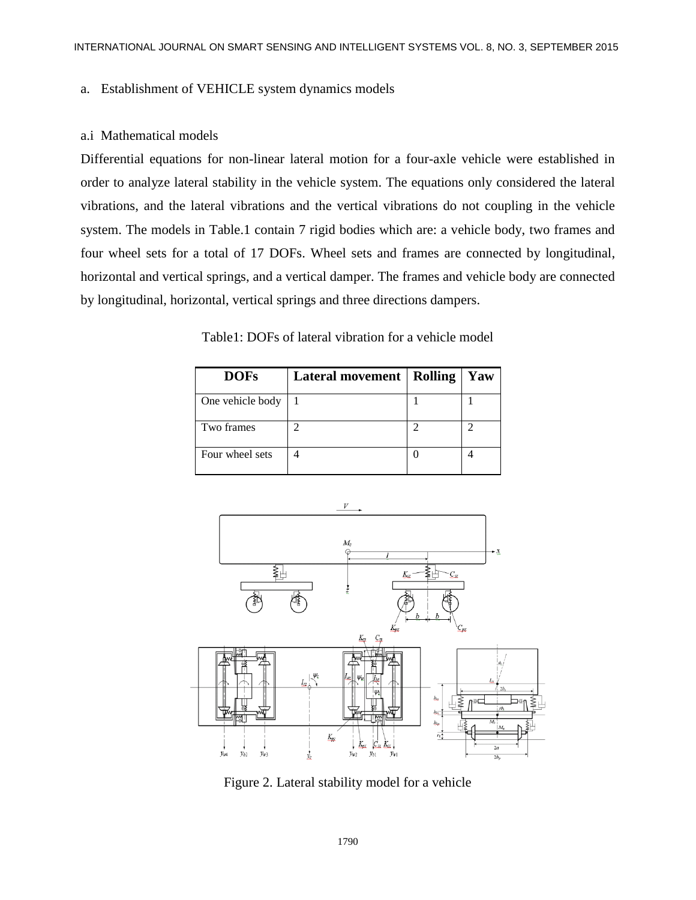### a. Establishment of VEHICLE system dynamics models

### a.i Mathematical models

Differential equations for non-linear lateral motion for a four-axle vehicle were established in order to analyze lateral stability in the vehicle system. The equations only considered the lateral vibrations, and the lateral vibrations and the vertical vibrations do not coupling in the vehicle system. The models in Table.1 contain 7 rigid bodies which are: a vehicle body, two frames and four wheel sets for a total of 17 DOFs. Wheel sets and frames are connected by longitudinal, horizontal and vertical springs, and a vertical damper. The frames and vehicle body are connected by longitudinal, horizontal, vertical springs and three directions dampers.

Table1: DOFs of lateral vibration for a vehicle model

| <b>DOFs</b>      | Lateral movement   Rolling | Yaw |
|------------------|----------------------------|-----|
| One vehicle body |                            |     |
| Two frames       |                            |     |
| Four wheel sets  |                            |     |



Figure 2. Lateral stability model for a vehicle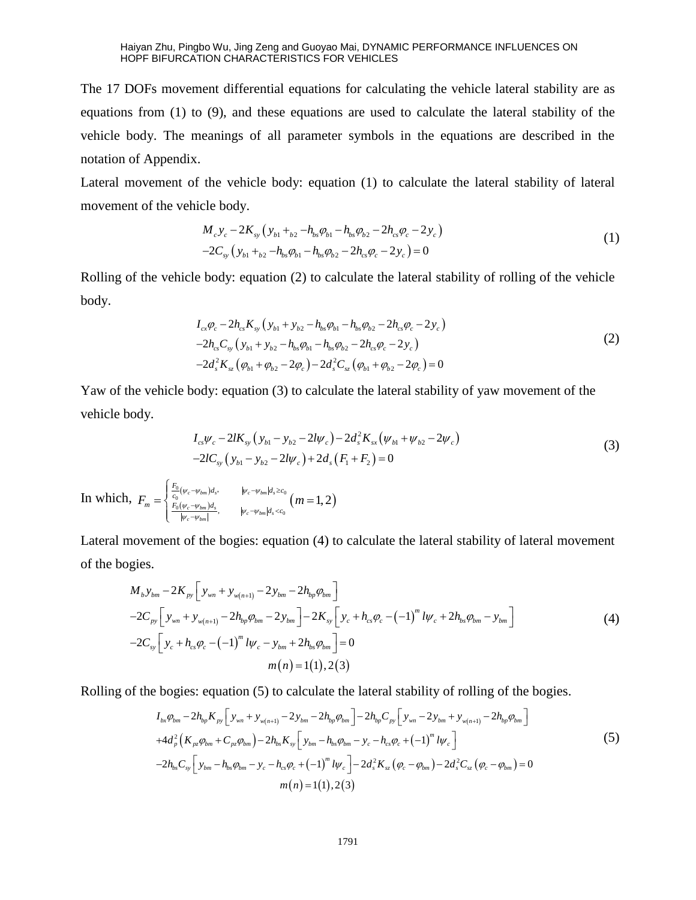The 17 DOFs movement differential equations for calculating the vehicle lateral stability are as equations from (1) to (9), and these equations are used to calculate the lateral stability of the vehicle body. The meanings of all parameter symbols in the equations are described in the notation of Appendix.

Lateral movement of the vehicle body: equation (1) to calculate the lateral stability of lateral movement of the vehicle body.

cle body.  
\n
$$
M_c y_c - 2K_{sy} (y_{b1} +_{b2} - h_{bs} \varphi_{b1} - h_{bs} \varphi_{b2} - 2h_{cs} \varphi_c - 2y_c)
$$
\n
$$
-2C_{sy} (y_{b1} +_{b2} - h_{bs} \varphi_{b1} - h_{bs} \varphi_{b2} - 2h_{cs} \varphi_c - 2y_c) = 0
$$
\n(1)

Rolling of the vehicle body: equation (2) to calculate the lateral stability of rolling of the vehicle body.

$$
I_{cx}\varphi_c - 2h_{cs}K_{sy}(y_{b1} + y_{b2} - h_{bs}\varphi_{b1} - h_{bs}\varphi_{b2} - 2h_{cs}\varphi_c - 2y_c)
$$
  
-2h\_{cs}C\_{sy}(y\_{b1} + y\_{b2} - h\_{bs}\varphi\_{b1} - h\_{bs}\varphi\_{b2} - 2h\_{cs}\varphi\_c - 2y\_c)  
-2d\_s^2K\_{sz}(\varphi\_{b1} + \varphi\_{b2} - 2\varphi\_c) - 2d\_s^2C\_{sz}(\varphi\_{b1} + \varphi\_{b2} - 2\varphi\_c) = 0 (2)

Yaw of the vehicle body: equation (3) to calculate the lateral stability of yaw movement of the vehicle body.

$$
I_{cs}\psi_c - 2lK_{sy}\left(y_{b1} - y_{b2} - 2l\psi_c\right) - 2d_s^2K_{sx}\left(\psi_{b1} + \psi_{b2} - 2\psi_c\right) -2lC_{sy}\left(y_{b1} - y_{b2} - 2l\psi_c\right) + 2d_s\left(F_1 + F_2\right) = 0
$$
\n(3)

In which,  $F_m = \begin{cases} \frac{C_0}{c_0} (\psi_c - \psi_{bm}) \\ F_0 (\psi_c - \psi_{bm}) \end{cases}$  $(\psi_c - \psi_{bm})d_s$ ,  $|\psi_c - \psi_{bm}|d_s \geq c_0$ <br>  $(\psi_c - \psi_{cm})d_s$   $(m = 1, 2)$  $\frac{1}{\omega}(\psi_c - \psi_{bm})d_s$ ,  $\psi_c - \psi_{bm}|d_s \geq c_0$  $\frac{1}{\sqrt{6}}\left(\frac{w_c - w_{bm}}{w_s}\right)^3$   $w_c - w_{bm}|_{d_s} < c_0$   $(m = 1, 2)$  $(\psi_c - \psi_{bm})d_s$ ,  $|\psi_c - \psi_{bm}|d_s$  $\frac{c}{c} - \psi_{bm} \Big| d_s}{\psi_c - \psi_{bm} \Big| d_s}$ <br> $\psi_c - \psi_{bm} \Big| d_s$  $F_m = \begin{cases} \frac{F_0}{c_0} (\psi_c - \psi_{bm}) d_s, & |\psi_c - \psi_{bm}| d_s \geq c_0 \ \frac{F_0 (\psi_c - \psi_{bm}) d_s}{\psi_c - \psi_{bm}| d_s < c_0} & m \end{cases}$  $(\psi_c \psi_{bm})d_s$ <br>  $(\psi_c - \psi_{bm})d_s$ <br>  $|\psi_c - \psi_{bm}|$ <br>  $(\psi_c - \psi_{bm})d_s$ <br>  $|\psi_c - \psi_{bm}|d_s$  $(-\psi_{bm})d_s$ ,  $|\psi_c-\psi_{bm}|d_s \geq c_0$  $\frac{-\psi_{bm})d_s}{-\psi_{bm}}$ ,  $|\psi_c - \psi_{bm}|d_s < c_0$  $\int$  $= \begin{cases} \frac{F_0}{c_0}(\psi_c - \psi_{bm}) d_s, & |\psi_c - \psi_{bm}| d_s \geq c_0 \\ F_0(\psi_c - \psi_{bm}) d_s & | \end{cases} (m = 1, 2)$  $\overline{\mathcal{L}}$ ,

Lateral movement of the bogies: equation (4) to calculate the lateral stability of lateral movement<br>of the bogies.<br> $M_b y_{bm} - 2K_{py} \left[ y_{wn} + y_{w(n+1)} - 2y_{bm} - 2h_{bp} \varphi_{bm} \right]$ of the bogies. 2 $K_{py}$   $\left[ y_{wn} + y_{w(n+1)} - 2y_{bm} - 2 \right]$ fovement of the bogies. equation<br>gies.<br> $M_b y_{bm} - 2K_{py} \left[ y_{wn} + y_{w(n+1)} - 2y_{bm} - 2h_b \right]$ 

gies.  
\n
$$
M_{b} y_{bm} - 2K_{py} \left[ y_{wn} + y_{w(n+1)} - 2y_{bm} - 2h_{bp} \varphi_{bm} \right]
$$
\n
$$
-2C_{py} \left[ y_{wn} + y_{w(n+1)} - 2h_{bp} \varphi_{bm} - 2y_{bm} \right] - 2K_{sy} \left[ y_{c} + h_{cs} \varphi_{c} - (-1)^{m} l \psi_{c} + 2h_{bs} \varphi_{bm} - y_{bm} \right]
$$
\n
$$
-2C_{sy} \left[ y_{c} + h_{cs} \varphi_{c} - (-1)^{m} l \psi_{c} - y_{bm} + 2h_{bs} \varphi_{bm} \right] = 0
$$
\n
$$
m(n) = 1(1), 2(3)
$$
\n(4)

Rolling of the bogies: equation (5) to calculate the lateral stability of rolling of the bogies.  
\n
$$
I_{bx}\varphi_{bm} - 2h_{bp}K_{py}\left[y_{wn} + y_{w(n+1)} - 2y_{bm} - 2h_{bp}\varphi_{bm}\right] - 2h_{bp}C_{py}\left[y_{wn} - 2y_{bm} + y_{w(n+1)} - 2h_{bp}\varphi_{bm}\right]
$$
\n
$$
+ 4d_{\rho}^{2}\left(K_{pz}\varphi_{bm} + C_{pz}\varphi_{bm}\right) - 2h_{bs}K_{sy}\left[y_{bm} - h_{bs}\varphi_{bm} - y_{c} - h_{cs}\varphi_{c} + (-1)^{m}l\psi_{c}\right]
$$
\n
$$
-2h_{bs}C_{sy}\left[y_{bm} - h_{bs}\varphi_{bm} - y_{c} - h_{cs}\varphi_{c} + (-1)^{m}l\psi_{c}\right] - 2d_{s}^{2}K_{sz}\left(\varphi_{c} - \varphi_{bm}\right) - 2d_{s}^{2}C_{sz}\left(\varphi_{c} - \varphi_{bm}\right) = 0
$$
\n
$$
m(n) = 1(1), 2(3)
$$
\n(5)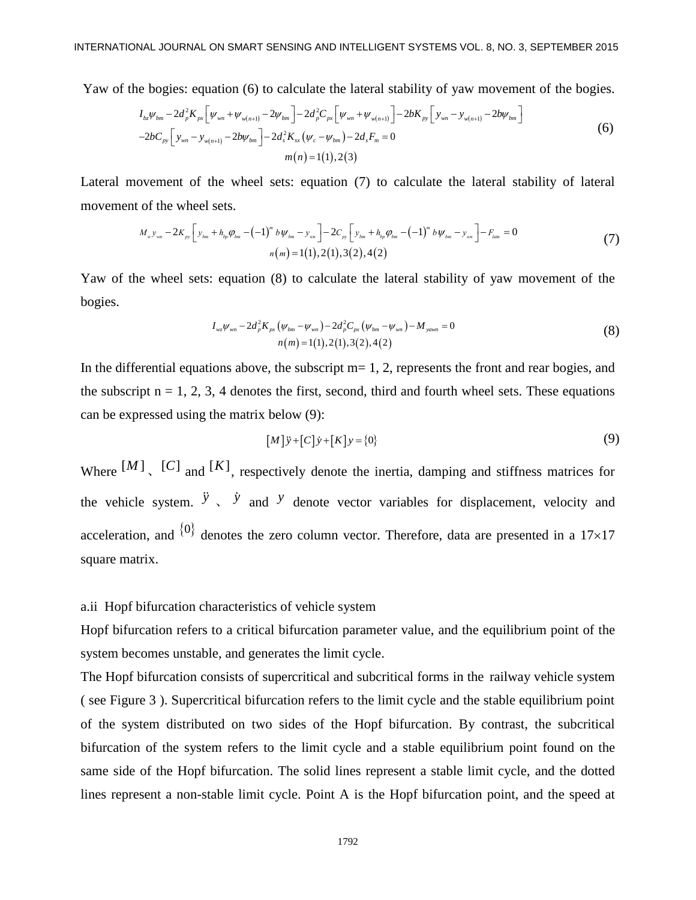Yaw of the bogies: equation (6) to calculate the lateral stability of yaw movement of the bogies.  
\n
$$
I_{bz}\psi_{bm} - 2d_p^2 K_{px} \left[ \psi_{wn} + \psi_{w(n+1)} - 2\psi_{bm} \right] - 2d_p^2 C_{px} \left[ \psi_{wn} + \psi_{w(n+1)} \right] - 2bK_{py} \left[ y_{wn} - y_{w(n+1)} - 2b\psi_{bm} \right]
$$
\n
$$
-2bC_{py} \left[ y_{wn} - y_{w(n+1)} - 2b\psi_{bm} \right] - 2d_s^2 K_{xx} \left( \psi_c - \psi_{bm} \right) - 2d_s F_m = 0
$$
\n
$$
m(n) = 1(1), 2(3)
$$
\n(6)

Lateral movement of the wheel sets: equation (7) to calculate the lateral stability of lateral movement of the wheel sets.

of the wheel sets.  
\n
$$
M_{w}y_{wn} - 2K_{py}\left[y_{bm} + h_{bp}\varphi_{bm} - (-1)^{m}b\psi_{bm} - y_{wn}\right] - 2C_{py}\left[y_{bm} + h_{bp}\varphi_{bm} - (-1)^{m}b\psi_{bm} - y_{wn}\right] - F_{lain} = 0
$$
\n
$$
n(m) = 1(1), 2(1), 3(2), 4(2)
$$
\n(7)

Yaw of the wheel sets: equation (8) to calculate the lateral stability of yaw movement of the bogies.

$$
I_{wz}\psi_{wn} - 2d_p^2 K_{px}(\psi_{bm} - \psi_{wn}) - 2d_p^2 C_{px}(\psi_{bm} - \psi_{wn}) - M_{yawn} = 0
$$
  
\n
$$
n(m) = 1(1), 2(1), 3(2), 4(2)
$$
\n(8)

In the differential equations above, the subscript  $m=1, 2$ , represents the front and rear bogies, and the subscript  $n = 1, 2, 3, 4$  denotes the first, second, third and fourth wheel sets. These equations can be expressed using the matrix below (9):

$$
[M] \ddot{y} + [C] \dot{y} + [K] y = \{0\}
$$
 (9)

Where  $[M]$ ,  $[C]$  and  $[K]$ , respectively denote the inertia, damping and stiffness matrices for the vehicle system.  $\ddot{y}$ ,  $\dot{y}$  and  $y$  denote vector variables for displacement, velocity and acceleration, and  $\{0\}$  denotes the zero column vector. Therefore, data are presented in a 17×17 square matrix.

a.ii Hopf bifurcation characteristics of vehicle system

Hopf bifurcation refers to a critical bifurcation parameter value, and the equilibrium point of the system becomes unstable, and generates the limit cycle.

The Hopf bifurcation consists of supercritical and subcritical forms in the railway vehicle system ( see Figure 3 ). Supercritical bifurcation refers to the limit cycle and the stable equilibrium point of the system distributed on two sides of the Hopf bifurcation. By contrast, the subcritical bifurcation of the system refers to the limit cycle and a stable equilibrium point found on the same side of the Hopf bifurcation. The solid lines represent a stable limit cycle, and the dotted lines represent a non-stable limit cycle. Point A is the Hopf bifurcation point, and the speed at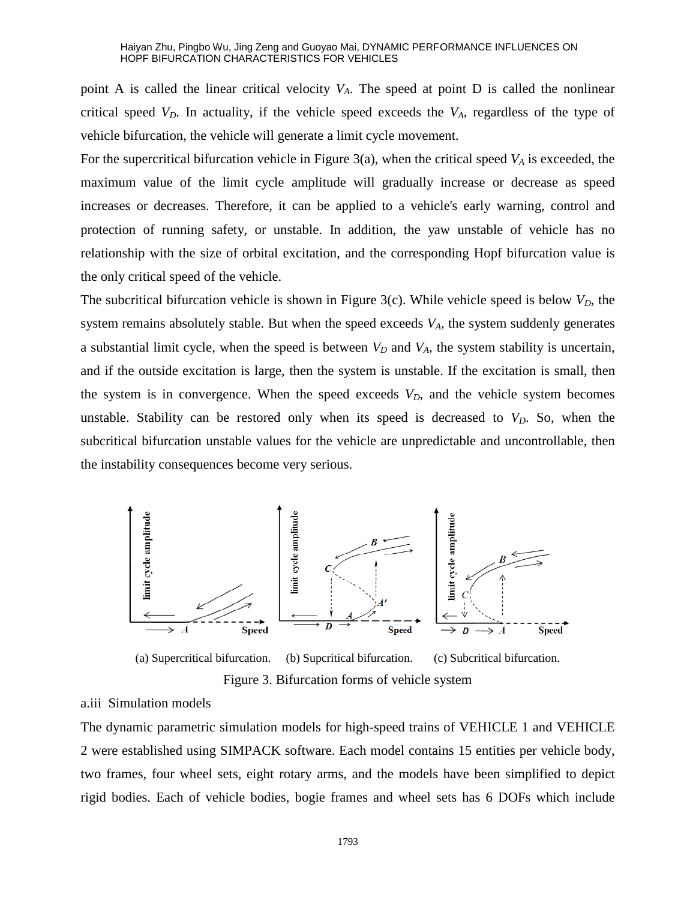point A is called the linear critical velocity  $V_A$ . The speed at point D is called the nonlinear critical speed  $V<sub>D</sub>$ . In actuality, if the vehicle speed exceeds the  $V<sub>A</sub>$ , regardless of the type of vehicle bifurcation, the vehicle will generate a limit cycle movement.

For the supercritical bifurcation vehicle in Figure 3(a), when the critical speed *V<sup>A</sup>* is exceeded, the maximum value of the limit cycle amplitude will gradually increase or decrease as speed increases or decreases. Therefore, it can be applied to a vehicle's early warning, control and protection of running safety, or unstable. In addition, the yaw unstable of vehicle has no relationship with the size of orbital excitation, and the corresponding Hopf bifurcation value is the only critical speed of the vehicle.

The subcritical bifurcation vehicle is shown in Figure 3(c). While vehicle speed is below  $V_D$ , the system remains absolutely stable. But when the speed exceeds *VA*, the system suddenly generates a substantial limit cycle, when the speed is between  $V_D$  and  $V_A$ , the system stability is uncertain, and if the outside excitation is large, then the system is unstable. If the excitation is small, then the system is in convergence. When the speed exceeds  $V<sub>D</sub>$ , and the vehicle system becomes unstable. Stability can be restored only when its speed is decreased to  $V<sub>D</sub>$ . So, when the subcritical bifurcation unstable values for the vehicle are unpredictable and uncontrollable, then the instability consequences become very serious.



(a) Supercritical bifurcation. (b) Supcritical bifurcation. (c) Subcritical bifurcation. Figure 3. Bifurcation forms of vehicle system

a.iii Simulation models

The dynamic parametric simulation models for high-speed trains of VEHICLE 1 and VEHICLE 2 were established using SIMPACK software. Each model contains 15 entities per vehicle body, two frames, four wheel sets, eight rotary arms, and the models have been simplified to depict rigid bodies. Each of vehicle bodies, bogie frames and wheel sets has 6 DOFs which include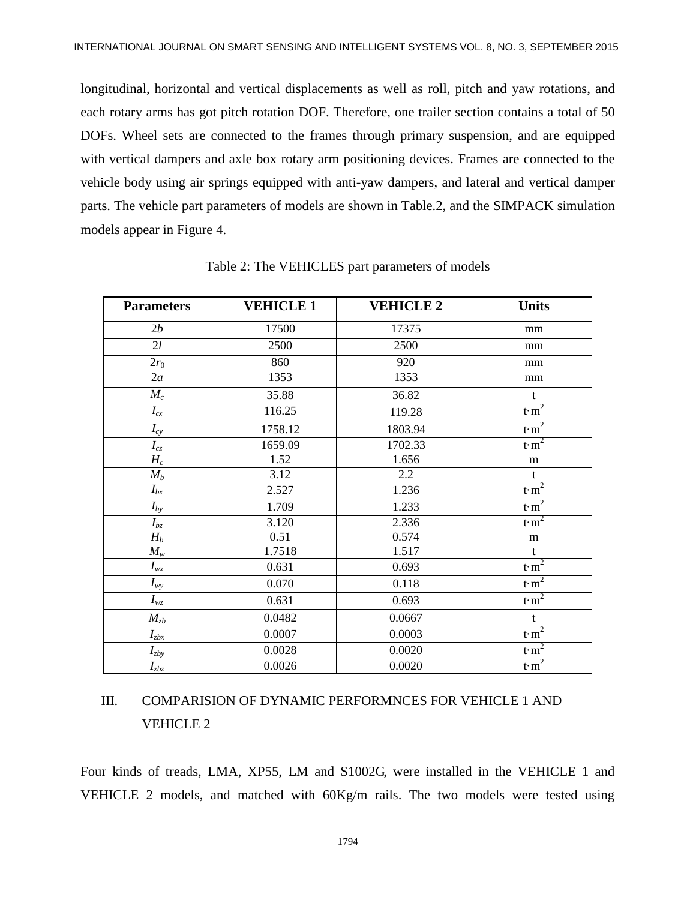longitudinal, horizontal and vertical displacements as well as roll, pitch and yaw rotations, and each rotary arms has got pitch rotation DOF. Therefore, one trailer section contains a total of 50 DOFs. Wheel sets are connected to the frames through primary suspension, and are equipped with vertical dampers and axle box rotary arm positioning devices. Frames are connected to the vehicle body using air springs equipped with anti-yaw dampers, and lateral and vertical damper parts. The vehicle part parameters of models are shown in Table.2, and the SIMPACK simulation models appear in Figure 4.

| <b>Parameters</b>                  | <b>VEHICLE 1</b> | <b>VEHICLE 2</b> | <b>Units</b>      |
|------------------------------------|------------------|------------------|-------------------|
| 2b                                 | 17500            | 17375            | mm                |
| 2l                                 | 2500             | 2500             | mm                |
| $2r_0$                             | 860              | 920              | mm                |
| 2a                                 | 1353             | 1353             | mm                |
| $M_c$                              | 35.88            | 36.82            | $\mathbf t$       |
| $I_{cx}$                           | 116.25           | 119.28           | $t \, \text{m}^2$ |
| $I_{cy}$                           | 1758.12          | 1803.94          | $t \, \text{m}^2$ |
| $I_{cz}$                           | 1659.09          | 1702.33          | t m <sup>2</sup>  |
| $H_c$                              | 1.52             | 1.656            | m                 |
| $M_b$                              | 3.12             | $2.2\,$          | $\mathbf{t}$      |
| $I_{bx}$                           | 2.527            | 1.236            | $t \, \text{m}^2$ |
| $I_{by}$                           | 1.709            | 1.233            | t m <sup>2</sup>  |
| $I_{bz}$                           | 3.120            | 2.336            | t m <sup>2</sup>  |
| $H_b$                              | 0.51             | 0.574            | m                 |
| $M_w$                              | 1.7518           | 1.517            | t                 |
| $I_{wx}$                           | 0.631            | 0.693            | $t \, \text{m}^2$ |
| $I_{wy}$                           | 0.070            | 0.118            | $t \, \text{m}^2$ |
| $I_{wz}$                           | 0.631            | 0.693            | $t \, \text{m}^2$ |
| $M_{zb}$                           | 0.0482           | 0.0667           | $\mathbf t$       |
| $I_{zbx}$                          | 0.0007           | 0.0003           | $t \, \text{m}^2$ |
| $I_{\underline{z}b \underline{y}}$ | 0.0028           | 0.0020           | $t \, \text{m}^2$ |
| $I_{zbz}$                          | 0.0026           | 0.0020           | t m <sup>2</sup>  |

Table 2: The VEHICLES part parameters of models

## III. COMPARISION OF DYNAMIC PERFORMNCES FOR VEHICLE 1 AND VEHICLE 2

Four kinds of treads, LMA, XP55, LM and S1002G, were installed in the VEHICLE 1 and VEHICLE 2 models, and matched with 60Kg/m rails. The two models were tested using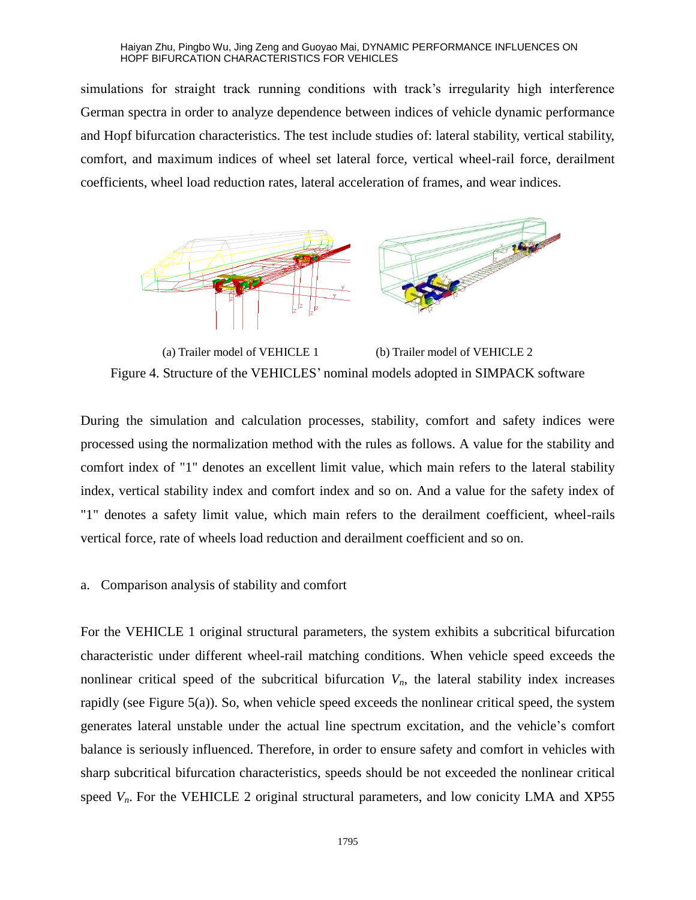simulations for straight track running conditions with track's irregularity high interference German spectra in order to analyze dependence between indices of vehicle dynamic performance and Hopf bifurcation characteristics. The test include studies of: lateral stability, vertical stability, comfort, and maximum indices of wheel set lateral force, vertical wheel-rail force, derailment coefficients, wheel load reduction rates, lateral acceleration of frames, and wear indices.



(a) Trailer model of VEHICLE 1 (b) Trailer model of VEHICLE 2 Figure 4. Structure of the VEHICLES' nominal models adopted in SIMPACK software

During the simulation and calculation processes, stability, comfort and safety indices were processed using the normalization method with the rules as follows. A value for the stability and comfort index of "1" denotes an excellent limit value, which main refers to the lateral stability index, vertical stability index and comfort index and so on. And a value for the safety index of "1" denotes a safety limit value, which main refers to the derailment coefficient, wheel-rails vertical force, rate of wheels load reduction and derailment coefficient and so on.

### a. Comparison analysis of stability and comfort

For the VEHICLE 1 original structural parameters, the system exhibits a subcritical bifurcation characteristic under different wheel-rail matching conditions. When vehicle speed exceeds the nonlinear critical speed of the subcritical bifurcation  $V<sub>n</sub>$ , the lateral stability index increases rapidly (see Figure 5(a)). So, when vehicle speed exceeds the nonlinear critical speed, the system generates lateral unstable under the actual line spectrum excitation, and the vehicle's comfort balance is seriously influenced. Therefore, in order to ensure safety and comfort in vehicles with sharp subcritical bifurcation characteristics, speeds should be not exceeded the nonlinear critical speed  $V<sub>n</sub>$ . For the VEHICLE 2 original structural parameters, and low conicity LMA and XP55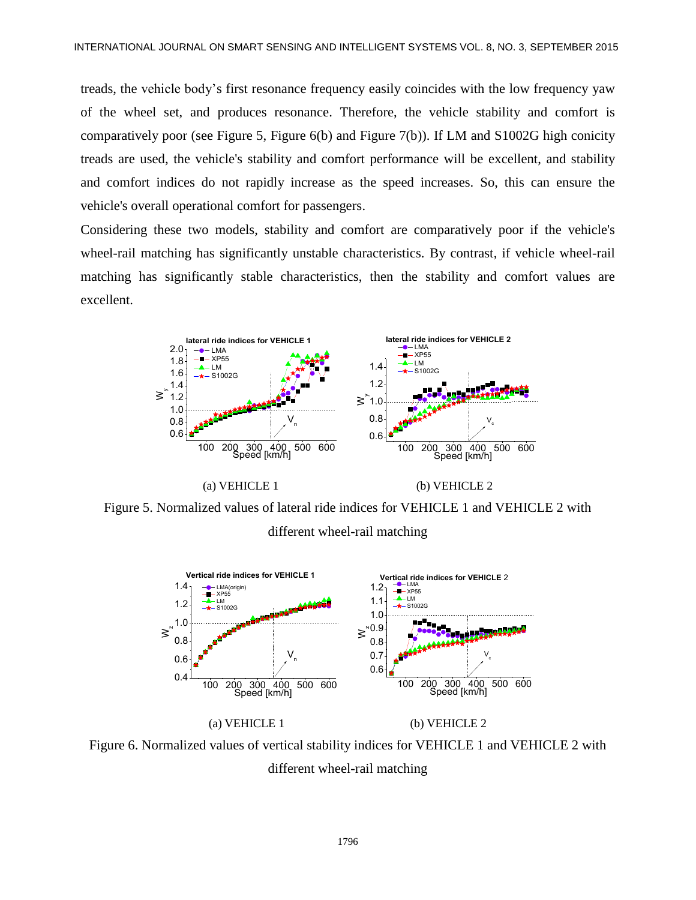treads, the vehicle body's first resonance frequency easily coincides with the low frequency yaw of the wheel set, and produces resonance. Therefore, the vehicle stability and comfort is comparatively poor (see Figure 5, Figure 6(b) and Figure 7(b)). If LM and S1002G high conicity treads are used, the vehicle's stability and comfort performance will be excellent, and stability and comfort indices do not rapidly increase as the speed increases. So, this can ensure the vehicle's overall operational comfort for passengers.

Considering these two models, stability and comfort are comparatively poor if the vehicle's wheel-rail matching has significantly unstable characteristics. By contrast, if vehicle wheel-rail matching has significantly stable characteristics, then the stability and comfort values are excellent.



Figure 5. Normalized values of lateral ride indices for VEHICLE 1 and VEHICLE 2 with different wheel-rail matching



Figure 6. Normalized values of vertical stability indices for VEHICLE 1 and VEHICLE 2 with different wheel-rail matching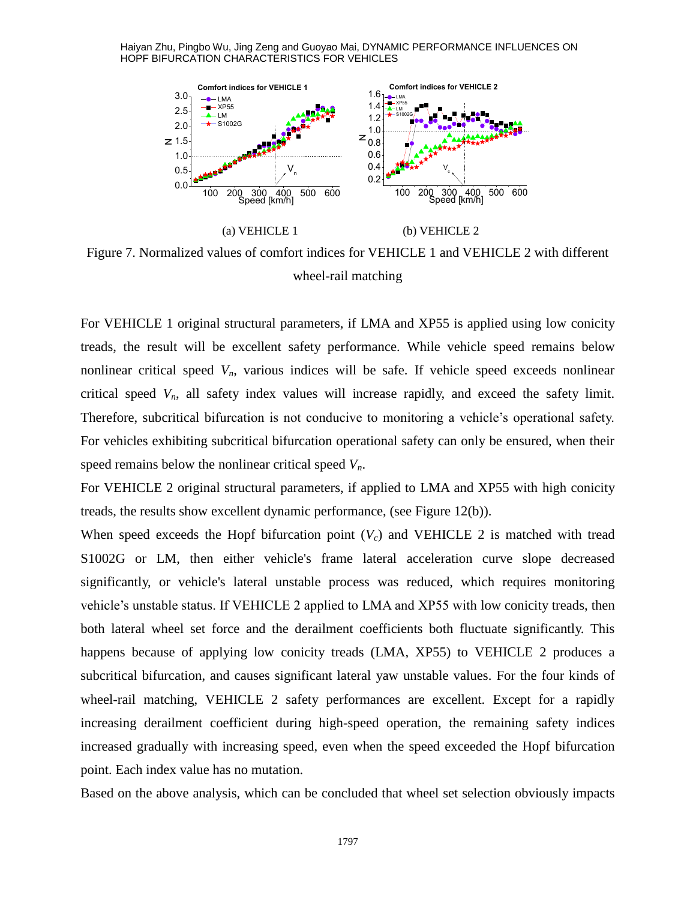

Figure 7. Normalized values of comfort indices for VEHICLE 1 and VEHICLE 2 with different wheel-rail matching

For VEHICLE 1 original structural parameters, if LMA and XP55 is applied using low conicity treads, the result will be excellent safety performance. While vehicle speed remains below nonlinear critical speed  $V<sub>n</sub>$ , various indices will be safe. If vehicle speed exceeds nonlinear critical speed  $V_n$ , all safety index values will increase rapidly, and exceed the safety limit. Therefore, subcritical bifurcation is not conducive to monitoring a vehicle's operational safety. For vehicles exhibiting subcritical bifurcation operational safety can only be ensured, when their speed remains below the nonlinear critical speed *Vn*.

For VEHICLE 2 original structural parameters, if applied to LMA and XP55 with high conicity treads, the results show excellent dynamic performance, (see Figure 12(b)).

When speed exceeds the Hopf bifurcation point  $(V_c)$  and VEHICLE 2 is matched with tread S1002G or LM, then either vehicle's frame lateral acceleration curve slope decreased significantly, or vehicle's lateral unstable process was reduced, which requires monitoring vehicle's unstable status. If VEHICLE 2 applied to LMA and XP55 with low conicity treads, then both lateral wheel set force and the derailment coefficients both fluctuate significantly. This happens because of applying low conicity treads (LMA, XP55) to VEHICLE 2 produces a subcritical bifurcation, and causes significant lateral yaw unstable values. For the four kinds of wheel-rail matching, VEHICLE 2 safety performances are excellent. Except for a rapidly increasing derailment coefficient during high-speed operation, the remaining safety indices increased gradually with increasing speed, even when the speed exceeded the Hopf bifurcation point. Each index value has no mutation.

Based on the above analysis, which can be concluded that wheel set selection obviously impacts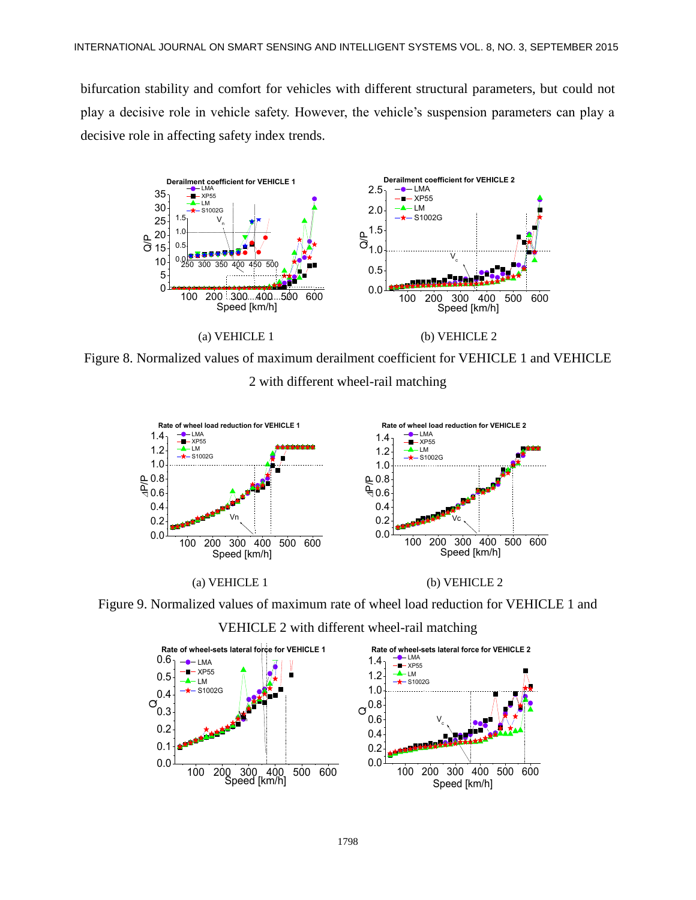bifurcation stability and comfort for vehicles with different structural parameters, but could not play a decisive role in vehicle safety. However, the vehicle's suspension parameters can play a decisive role in affecting safety index trends.







Figure 9. Normalized values of maximum rate of wheel load reduction for VEHICLE 1 and



VEHICLE 2 with different wheel-rail matching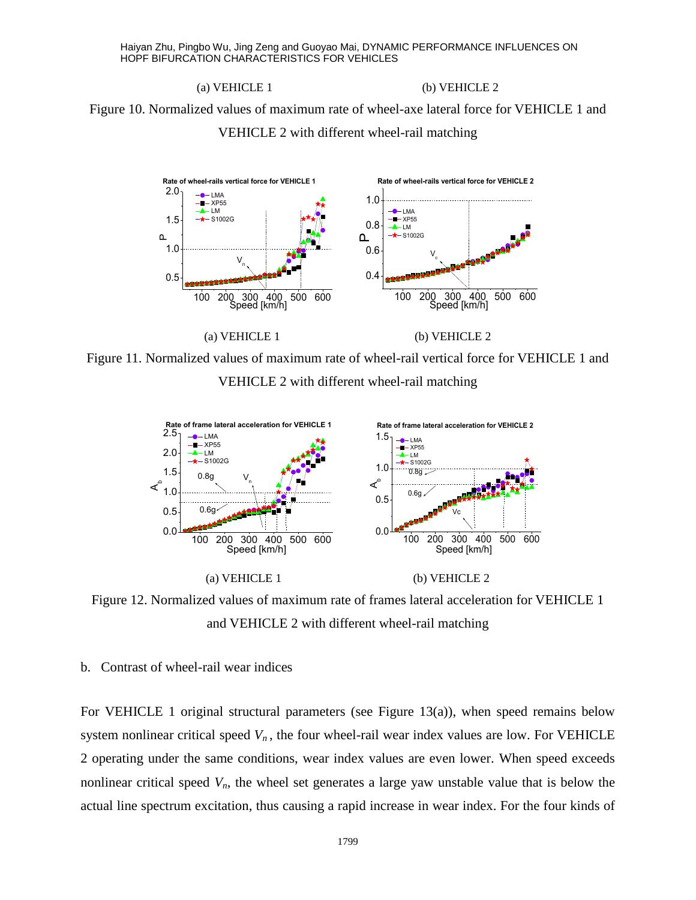### (a) VEHICLE 1 (b) VEHICLE 2

Figure 10. Normalized values of maximum rate of wheel-axe lateral force for VEHICLE 1 and VEHICLE 2 with different wheel-rail matching







Figure 12. Normalized values of maximum rate of frames lateral acceleration for VEHICLE 1 and VEHICLE 2 with different wheel-rail matching

### b. Contrast of wheel-rail wear indices

For VEHICLE 1 original structural parameters (see Figure 13(a)), when speed remains below system nonlinear critical speed  $V<sub>n</sub>$ , the four wheel-rail wear index values are low. For VEHICLE 2 operating under the same conditions, wear index values are even lower. When speed exceeds nonlinear critical speed *Vn*, the wheel set generates a large yaw unstable value that is below the actual line spectrum excitation, thus causing a rapid increase in wear index. For the four kinds of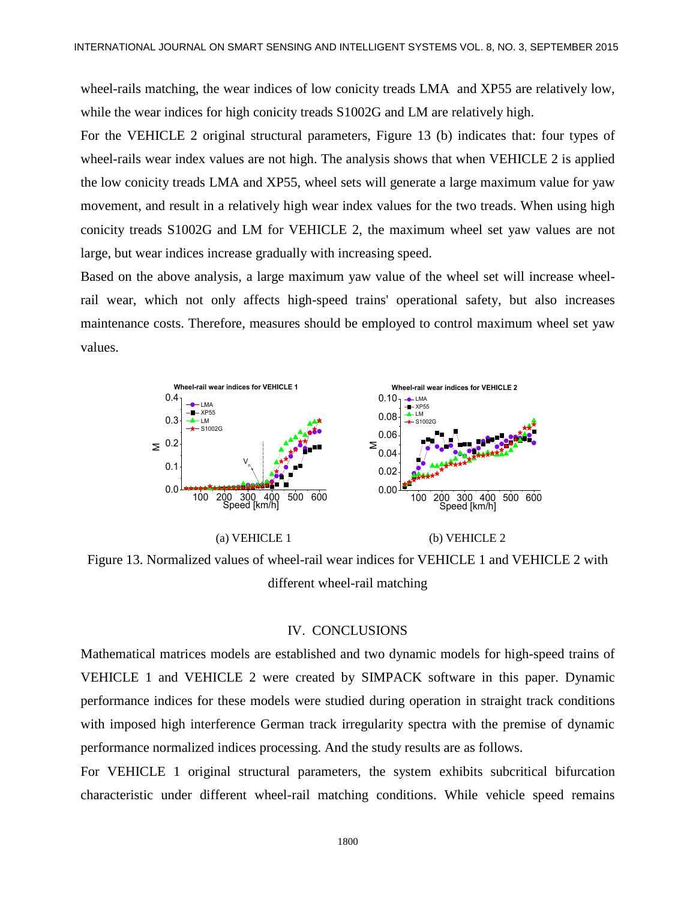wheel-rails matching, the wear indices of low conicity treads LMA and XP55 are relatively low, while the wear indices for high conicity treads S1002G and LM are relatively high.

For the VEHICLE 2 original structural parameters, Figure 13 (b) indicates that: four types of wheel-rails wear index values are not high. The analysis shows that when VEHICLE 2 is applied the low conicity treads LMA and XP55, wheel sets will generate a large maximum value for yaw movement, and result in a relatively high wear index values for the two treads. When using high conicity treads S1002G and LM for VEHICLE 2, the maximum wheel set yaw values are not large, but wear indices increase gradually with increasing speed.

Based on the above analysis, a large maximum yaw value of the wheel set will increase wheelrail wear, which not only affects high-speed trains' operational safety, but also increases maintenance costs. Therefore, measures should be employed to control maximum wheel set yaw values.



Figure 13. Normalized values of wheel-rail wear indices for VEHICLE 1 and VEHICLE 2 with different wheel-rail matching

### IV. CONCLUSIONS

Mathematical matrices models are established and two dynamic models for high-speed trains of VEHICLE 1 and VEHICLE 2 were created by SIMPACK software in this paper. Dynamic performance indices for these models were studied during operation in straight track conditions with imposed high interference German track irregularity spectra with the premise of dynamic performance normalized indices processing. And the study results are as follows.

For VEHICLE 1 original structural parameters, the system exhibits subcritical bifurcation characteristic under different wheel-rail matching conditions. While vehicle speed remains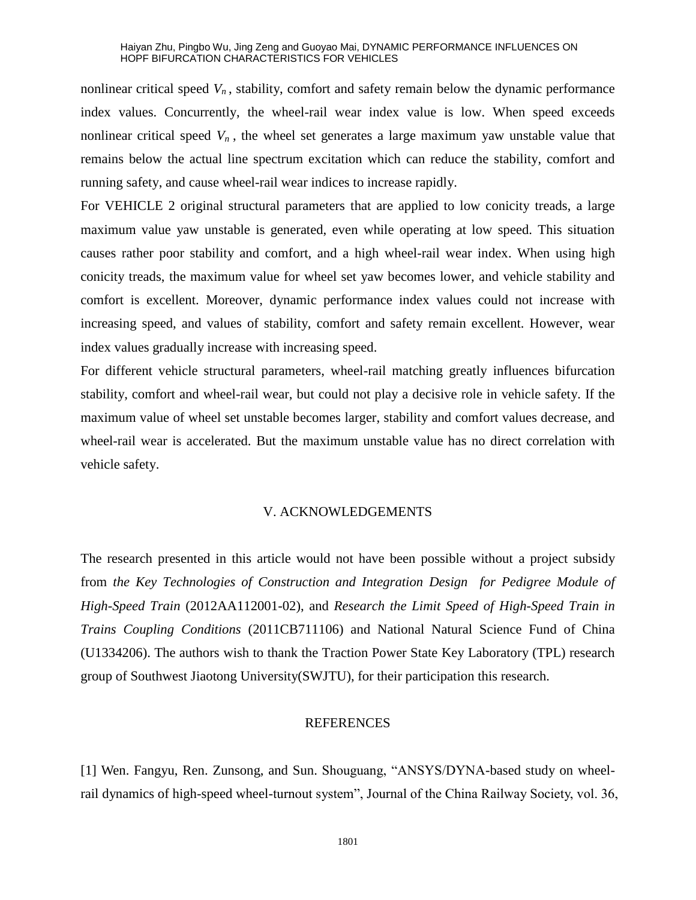nonlinear critical speed  $V_n$ , stability, comfort and safety remain below the dynamic performance index values. Concurrently, the wheel-rail wear index value is low. When speed exceeds nonlinear critical speed  $V_n$ , the wheel set generates a large maximum yaw unstable value that remains below the actual line spectrum excitation which can reduce the stability, comfort and running safety, and cause wheel-rail wear indices to increase rapidly.

For VEHICLE 2 original structural parameters that are applied to low conicity treads, a large maximum value yaw unstable is generated, even while operating at low speed. This situation causes rather poor stability and comfort, and a high wheel-rail wear index. When using high conicity treads, the maximum value for wheel set yaw becomes lower, and vehicle stability and comfort is excellent. Moreover, dynamic performance index values could not increase with increasing speed, and values of stability, comfort and safety remain excellent. However, wear index values gradually increase with increasing speed.

For different vehicle structural parameters, wheel-rail matching greatly influences bifurcation stability, comfort and wheel-rail wear, but could not play a decisive role in vehicle safety. If the maximum value of wheel set unstable becomes larger, stability and comfort values decrease, and wheel-rail wear is accelerated. But the maximum unstable value has no direct correlation with vehicle safety.

### V. ACKNOWLEDGEMENTS

The research presented in this article would not have been possible without a project subsidy from *the Key Technologies of Construction and Integration Design for Pedigree Module of High-Speed Train* (2012AA112001-02), and *Research the Limit Speed of High-Speed Train in Trains Coupling Conditions* (2011CB711106) and National Natural Science Fund of China (U1334206). The authors wish to thank the Traction Power State Key Laboratory (TPL) research group of Southwest Jiaotong University(SWJTU), for their participation this research.

### REFERENCES

[1] Wen. Fangyu, Ren. Zunsong, and Sun. Shouguang, "ANSYS/DYNA-based study on wheelrail dynamics of high-speed wheel-turnout system", Journal of the China Railway Society, vol. 36,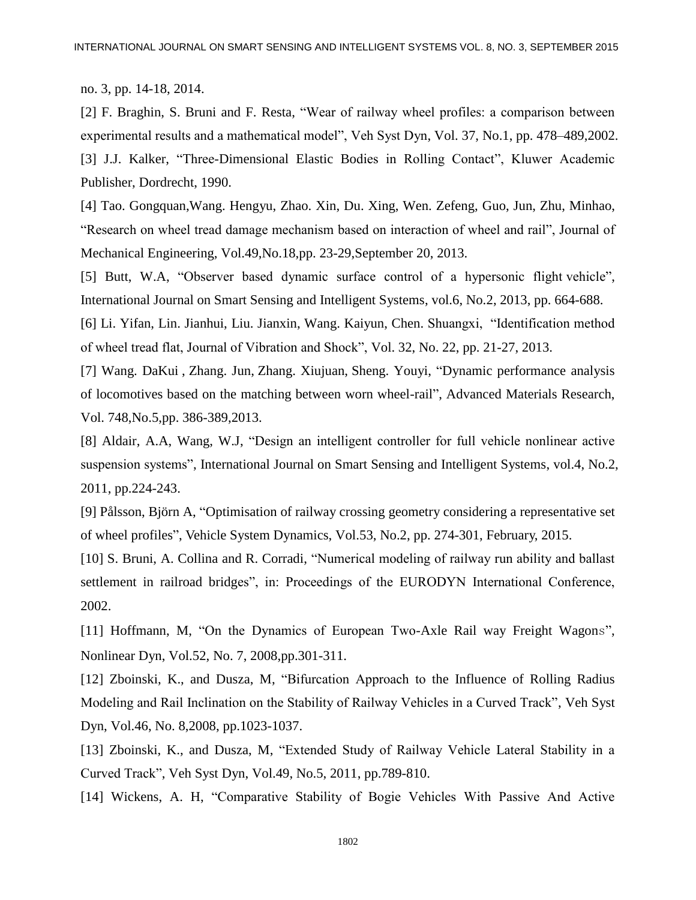no. 3, pp. 14-18, 2014.

[2] F. Braghin, S. Bruni and F. Resta, "Wear of railway wheel profiles: a comparison between experimental results and a mathematical model", Veh Syst Dyn, Vol. 37, No.1, pp. 478–489,2002. [3] J.J. Kalker, "Three-Dimensional Elastic Bodies in Rolling Contact", Kluwer Academic Publisher, Dordrecht, 1990.

[4] Tao. Gongquan,Wang. Hengyu, Zhao. Xin, Du. Xing, Wen. Zefeng, Guo, Jun, Zhu, Minhao, "Research on wheel tread damage mechanism based on interaction of wheel and rail", Journal of Mechanical Engineering, Vol.49,No.18,pp. 23-29,September 20, 2013.

[5] Butt, W.A, "Observer based dynamic surface control of a hypersonic flight vehicle", International Journal on Smart Sensing and Intelligent Systems, vol.6, No.2, 2013, pp. 664-688.

[6] Li. Yifan, Lin. Jianhui, Liu. Jianxin, Wang. Kaiyun, Chen. Shuangxi, "Identification method of wheel tread flat, Journal of Vibration and Shock", Vol. 32, No. 22, pp. 21-27, 2013.

[7] [Wang.](http://www.engineeringvillage.com/search/submit.url?CID=quickSearchCitationFormat&searchtype=Quick&searchWord1=%7bWang%2C+Da+Kui%7d§ion1=AU&database=1&yearselect=yearrange&sort=yr) DaKui , [Zhang. Jun,](http://www.engineeringvillage.com/search/submit.url?CID=quickSearchCitationFormat&searchtype=Quick&searchWord1=%7bZhang%2C+Jun%7d§ion1=AU&database=1&yearselect=yearrange&sort=yr) Zhang. [Xiujuan,](http://www.engineeringvillage.com/search/submit.url?CID=quickSearchCitationFormat&searchtype=Quick&searchWord1=%7bZhang%2C+Xiu+Juan%7d§ion1=AU&database=1&yearselect=yearrange&sort=yr) [Sheng.](http://www.engineeringvillage.com/search/submit.url?CID=quickSearchCitationFormat&searchtype=Quick&searchWord1=%7bSheng%2C+You+Yi%7d§ion1=AU&database=1&yearselect=yearrange&sort=yr) Youyi, "Dynamic performance analysis of locomotives based on the matching between worn wheel-rail", Advanced Materials Research, Vol. 748,No.5,pp. 386-389,2013.

[8] Aldair, A.A, Wang, W.J, "Design an intelligent controller for full vehicle nonlinear active suspension systems", International Journal on Smart Sensing and Intelligent Systems, vol.4, No.2, 2011, pp.224-243.

[9] Pålsson, Björn A, "Optimisation of railway crossing geometry considering a representative set of wheel profiles", Vehicle System Dynamics, Vol.53, No.2, pp. 274-301, February, 2015.

[10] S. Bruni, A. Collina and R. Corradi, "Numerical modeling of railway run ability and ballast settlement in railroad bridges", in: Proceedings of the EURODYN International Conference, 2002.

[11] Hoffmann, M, "On the Dynamics of European Two-Axle Rail way Freight Wagons", Nonlinear Dyn, Vol.52, No. 7, 2008,pp.301-311.

[12] Zboinski, K., and Dusza, M, "Bifurcation Approach to the Influence of Rolling Radius Modeling and Rail Inclination on the Stability of Railway Vehicles in a Curved Track", Veh Syst Dyn, Vol.46, No. 8,2008, pp.1023-1037.

[13] Zboinski, K., and Dusza, M, "Extended Study of Railway Vehicle Lateral Stability in a Curved Track", Veh Syst Dyn, Vol.49, No.5, 2011, pp.789-810.

[14] Wickens, A. H, "Comparative Stability of Bogie Vehicles With Passive And Active

1802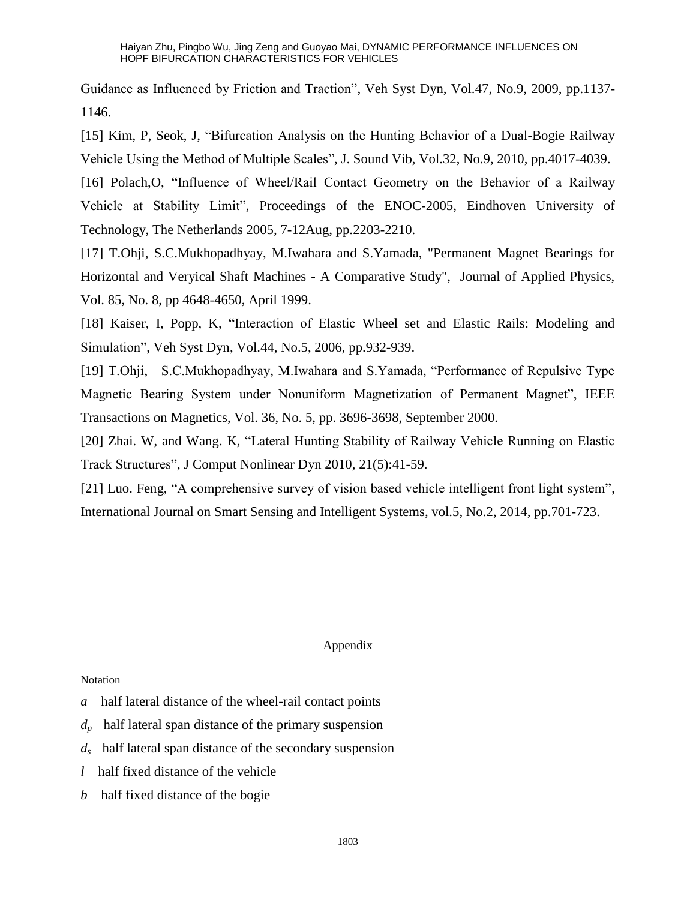Guidance as Influenced by Friction and Traction", Veh Syst Dyn, Vol.47, No.9, 2009, pp.1137- 1146.

[15] Kim, P, Seok, J, "Bifurcation Analysis on the Hunting Behavior of a Dual-Bogie Railway Vehicle Using the Method of Multiple Scales", J. Sound Vib, Vol.32, No.9, 2010, pp.4017-4039.

[16] Polach,O, "Influence of Wheel/Rail Contact Geometry on the Behavior of a Railway Vehicle at Stability Limit", Proceedings of the ENOC-2005, Eindhoven University of Technology, The Netherlands 2005, 7-12Aug, pp.2203-2210.

[17] T.Ohji, S.C.Mukhopadhyay, M.Iwahara and S.Yamada, "Permanent Magnet Bearings for Horizontal and Veryical Shaft Machines - A Comparative Study", Journal of Applied Physics, Vol. 85, No. 8, pp 4648-4650, April 1999.

[18] Kaiser, I, Popp, K, "Interaction of Elastic Wheel set and Elastic Rails: Modeling and Simulation", Veh Syst Dyn, Vol.44, No.5, 2006, pp.932-939.

[19] T.Ohji, S.C.Mukhopadhyay, M.Iwahara and S.Yamada, "Performance of Repulsive Type Magnetic Bearing System under Nonuniform Magnetization of Permanent Magnet", IEEE Transactions on Magnetics, Vol. 36, No. 5, pp. 3696-3698, September 2000.

[20] Zhai. W, and Wang. K, "Lateral Hunting Stability of Railway Vehicle Running on Elastic Track Structures", J Comput Nonlinear Dyn 2010, 21(5):41-59.

[21] Luo. [Feng,](http://www.engineeringvillage.com/search/submit.url?CID=quickSearchCitationFormat&searchtype=Quick&searchWord1=%7bLuo%2C+Feng%7d§ion1=AU&database=1&yearselect=yearrange&sort=yr) "A comprehensive survey of vision based vehicle intelligent front light system", International Journal on Smart Sensing and Intelligent Systems, vol.5, No.2, 2014, pp.701-723.

### Appendix

### Notation

- *a* half lateral distance of the wheel-rail contact points
- *dp* half lateral span distance of the primary suspension
- *ds* half lateral span distance of the secondary suspension
- *l* half fixed distance of the vehicle
- *b* half fixed distance of the bogie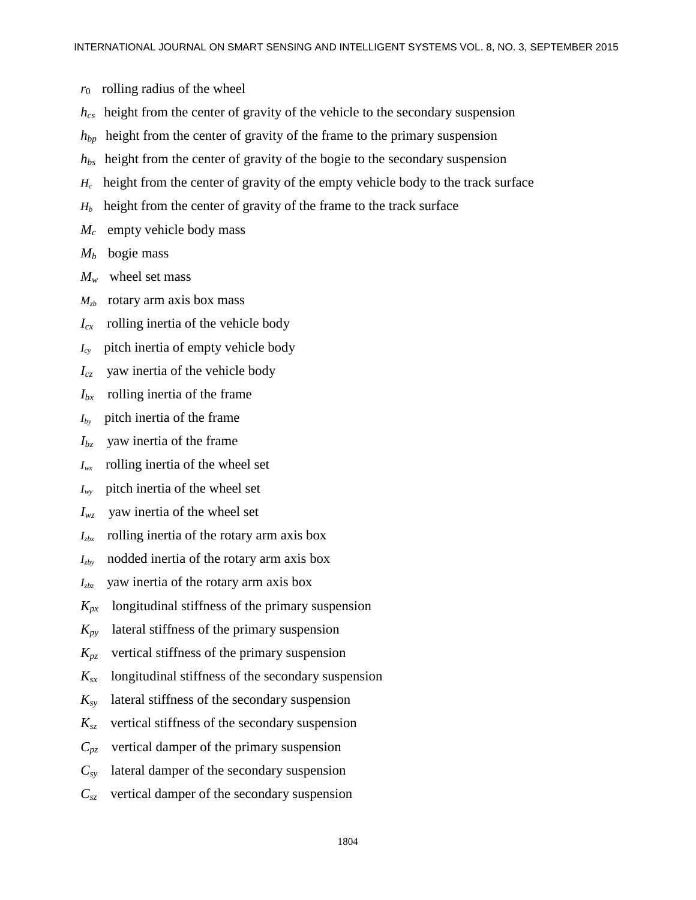$r_0$  rolling radius of the wheel

- *hcs* height from the center of gravity of the vehicle to the secondary suspension
- *hbp* height from the center of gravity of the frame to the primary suspension
- *hbs* height from the center of gravity of the bogie to the secondary suspension
- $H_c$  height from the center of gravity of the empty vehicle body to the track surface
- $H_b$  height from the center of gravity of the frame to the track surface
- $M_c$  empty vehicle body mass
- $M_b$  bogie mass
- $M_w$  wheel set mass
- $M_{<sub>z</sub>}$  rotary arm axis box mass
- $I_{cx}$  rolling inertia of the vehicle body
- *Icy* pitch inertia of empty vehicle body
- *Icz* yaw inertia of the vehicle body
- *Ibx* rolling inertia of the frame
- $I_{bv}$  pitch inertia of the frame
- *Ibz* yaw inertia of the frame
- *Iwx* rolling inertia of the wheel set
- *Iwy* pitch inertia of the wheel set
- $I_{wz}$  yaw inertia of the wheel set
- $I_{\rm zbx}$  rolling inertia of the rotary arm axis box
- $I_{zby}$  nodded inertia of the rotary arm axis box
- *Izbz* yaw inertia of the rotary arm axis box
- $K_{px}$  longitudinal stiffness of the primary suspension
- $K_{py}$  lateral stiffness of the primary suspension
- $K_{pz}$  vertical stiffness of the primary suspension
- $K_{sr}$  longitudinal stiffness of the secondary suspension
- $K_{\rm sv}$  lateral stiffness of the secondary suspension
- $K_{sz}$  vertical stiffness of the secondary suspension
- $C_{p\bar{z}}$  vertical damper of the primary suspension
- $C_{\rm sv}$  lateral damper of the secondary suspension
- $C_{sZ}$  vertical damper of the secondary suspension